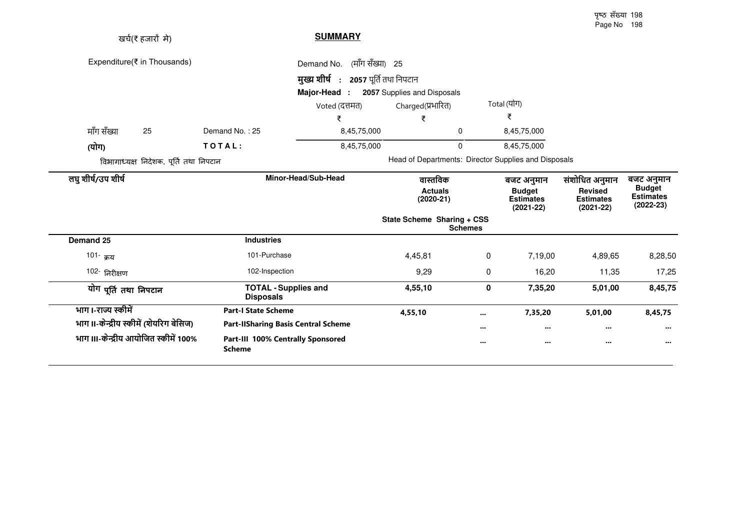| खर्च(₹ हजारों मे)                      |                                                    | <b>SUMMARY</b>                      |                             |                                              |                                                                |                                                                     |                                                                  |
|----------------------------------------|----------------------------------------------------|-------------------------------------|-----------------------------|----------------------------------------------|----------------------------------------------------------------|---------------------------------------------------------------------|------------------------------------------------------------------|
| Expenditure(₹ in Thousands)            |                                                    | (माँग सँख्या) 25<br>Demand No.      |                             |                                              |                                                                |                                                                     |                                                                  |
|                                        |                                                    | मुख्य शीर्ष: 2057 पूर्ति तथा निपटान |                             |                                              |                                                                |                                                                     |                                                                  |
|                                        |                                                    | Major-Head :                        | 2057 Supplies and Disposals |                                              |                                                                |                                                                     |                                                                  |
|                                        |                                                    | Voted (दत्तमत)                      | Charged(प्रभारित)           |                                              | Total (योग)                                                    |                                                                     |                                                                  |
|                                        |                                                    | ₹                                   | ₹                           |                                              | ₹                                                              |                                                                     |                                                                  |
| माँग सँख्या<br>25                      | Demand No.: 25                                     | 8,45,75,000                         |                             | 0                                            | 8,45,75,000                                                    |                                                                     |                                                                  |
| (योग)                                  | TOTAL:                                             | 8,45,75,000                         |                             | 0                                            | 8,45,75,000                                                    |                                                                     |                                                                  |
| विभागाध्यक्ष निदेशक, पूर्ति तथा निपटान |                                                    |                                     |                             |                                              | Head of Departments: Director Supplies and Disposals           |                                                                     |                                                                  |
| लघु शीर्ष/उप शीर्ष                     |                                                    | Minor-Head/Sub-Head                 | $(2020-21)$                 | वास्तविक<br><b>Actuals</b>                   | बजट अनुमान<br><b>Budget</b><br><b>Estimates</b><br>$(2021-22)$ | संशोधित अनुमान<br><b>Revised</b><br><b>Estimates</b><br>$(2021-22)$ | बजट अनुमान<br><b>Budget</b><br><b>Estimates</b><br>$(2022 - 23)$ |
|                                        |                                                    |                                     |                             | State Scheme Sharing + CSS<br><b>Schemes</b> |                                                                |                                                                     |                                                                  |
| Demand 25                              | <b>Industries</b>                                  |                                     |                             |                                              |                                                                |                                                                     |                                                                  |
| 101- <sub>क्रय</sub>                   | 101-Purchase                                       |                                     | 4,45,81                     | 0                                            | 7,19,00                                                        | 4,89,65                                                             | 8,28,50                                                          |
| 102- निरीक्षण                          | 102-Inspection                                     |                                     | 9,29                        | 0                                            | 16,20                                                          | 11,35                                                               | 17,25                                                            |
| योग पूर्ति तथा निपटान                  | <b>TOTAL - Supplies and</b><br><b>Disposals</b>    |                                     | 4,55,10                     | 0                                            | 7,35,20                                                        | 5,01,00                                                             | 8,45,75                                                          |
| भाग।-राज्य स्कीमें                     | <b>Part-I State Scheme</b>                         |                                     | 4,55,10                     |                                              | 7,35,20                                                        | 5,01,00                                                             | 8,45,75                                                          |
| भाग ॥-केन्द्रीय स्कीमें (शेयरिग बेसिज) | <b>Part-IlSharing Basis Central Scheme</b>         |                                     |                             |                                              | $\cdots$                                                       | $\cdots$                                                            | $\cdots$                                                         |
| भाग III-केन्द्रीय आयोजित स्कीमें 100%  | Part-III 100% Centrally Sponsored<br><b>Scheme</b> |                                     |                             |                                              | $\cdots$                                                       | $\cdots$                                                            | $\cdots$                                                         |

पृष्ठ सँख्या 198 Page No 198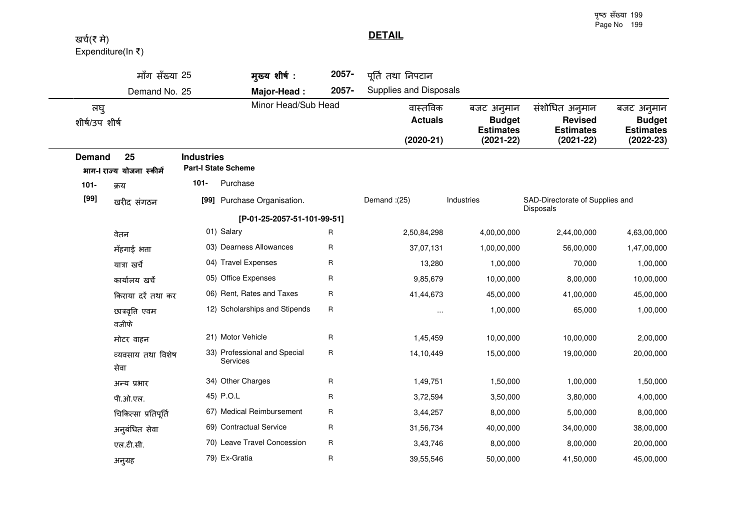पृष्ठ सँख्या 199 Page No 199

**DETAIL**

## खर्च(₹ मे) Expenditure(In  $\bar{\tau}$ )

|                      | मॉंग सॅख्या 25                  |                   | मुख्य शीर्ष:                             | 2057- | पूर्ति तथा निपटान                         |                                                                  |                                                                       |                                                                |
|----------------------|---------------------------------|-------------------|------------------------------------------|-------|-------------------------------------------|------------------------------------------------------------------|-----------------------------------------------------------------------|----------------------------------------------------------------|
|                      | Demand No. 25                   |                   | Major-Head:                              | 2057- | Supplies and Disposals                    |                                                                  |                                                                       |                                                                |
| लघु<br>शीर्ष/उपशीर्ष |                                 |                   | Minor Head/Sub Head                      |       | वास्तविक<br><b>Actuals</b><br>$(2020-21)$ | बजट अनुमान<br><b>Budget</b><br><b>Estimates</b><br>$(2021 - 22)$ | संशोधित अनुमान<br><b>Revised</b><br><b>Estimates</b><br>$(2021 - 22)$ | बजट अनुमान<br><b>Budget</b><br><b>Estimates</b><br>$(2022-23)$ |
| <b>Demand</b>        | 25<br>भाग-  राज्य योजना स्कीमें | <b>Industries</b> | <b>Part-I State Scheme</b>               |       |                                           |                                                                  |                                                                       |                                                                |
| $101 -$              | क्रय                            | $101 -$           | Purchase                                 |       |                                           |                                                                  |                                                                       |                                                                |
| $[99]$               | खरीद संगठन                      |                   | [99] Purchase Organisation.              |       | Demand: (25)                              | Industries                                                       | SAD-Directorate of Supplies and<br><b>Disposals</b>                   |                                                                |
|                      |                                 |                   | [P-01-25-2057-51-101-99-51]              |       |                                           |                                                                  |                                                                       |                                                                |
|                      | वेतन                            |                   | 01) Salary                               | R     | 2,50,84,298                               | 4,00,00,000                                                      | 2,44,00,000                                                           | 4,63,00,000                                                    |
|                      | मँहगाई भत्ता                    |                   | 03) Dearness Allowances                  | R     | 37,07,131                                 | 1,00,00,000                                                      | 56,00,000                                                             | 1,47,00,000                                                    |
|                      | यात्रा खर्चे                    |                   | 04) Travel Expenses                      | R     | 13,280                                    | 1,00,000                                                         | 70,000                                                                | 1,00,000                                                       |
|                      | कार्यालय खर्चे                  |                   | 05) Office Expenses                      | R     | 9,85,679                                  | 10,00,000                                                        | 8,00,000                                                              | 10,00,000                                                      |
|                      | किराया दरें तथा कर              |                   | 06) Rent, Rates and Taxes                | R     | 41,44,673                                 | 45,00,000                                                        | 41,00,000                                                             | 45,00,000                                                      |
|                      | छात्रवृत्ति एवम<br>वजीफे        |                   | 12) Scholarships and Stipends            | R     |                                           | 1,00,000                                                         | 65,000                                                                | 1,00,000                                                       |
|                      | मोटर वाहन                       |                   | 21) Motor Vehicle                        | R     | 1,45,459                                  | 10,00,000                                                        | 10,00,000                                                             | 2,00,000                                                       |
|                      | व्यवसाय तथा विशेष<br>सेवा       |                   | 33) Professional and Special<br>Services | R     | 14,10,449                                 | 15,00,000                                                        | 19,00,000                                                             | 20,00,000                                                      |
|                      | अन्य प्रभार                     |                   | 34) Other Charges                        | R     | 1,49,751                                  | 1,50,000                                                         | 1,00,000                                                              | 1,50,000                                                       |
|                      | पी.ओ.एल.                        |                   | 45) P.O.L                                | R     | 3,72,594                                  | 3,50,000                                                         | 3,80,000                                                              | 4,00,000                                                       |
|                      | चिकित्सा प्रतिपूर्ति            |                   | 67) Medical Reimbursement                | R     | 3,44,257                                  | 8,00,000                                                         | 5,00,000                                                              | 8,00,000                                                       |
|                      | अनुबंधित सेवा                   |                   | 69) Contractual Service                  | R     | 31,56,734                                 | 40,00,000                                                        | 34,00,000                                                             | 38,00,000                                                      |
|                      | एल.टी.सी.                       |                   | 70) Leave Travel Concession              | R     | 3,43,746                                  | 8,00,000                                                         | 8,00,000                                                              | 20,00,000                                                      |
|                      | अनुग्रह                         |                   | 79) Ex-Gratia                            | R     | 39,55,546                                 | 50,00,000                                                        | 41,50,000                                                             | 45,00,000                                                      |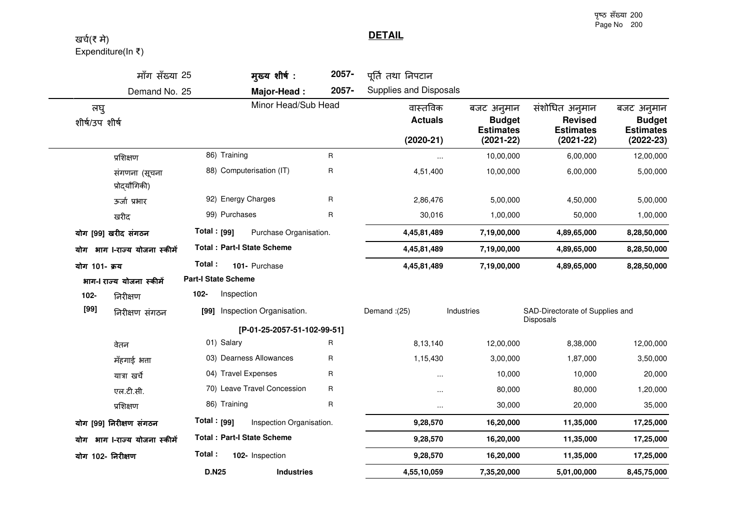पृष्ठ सँख्या 200 Page No 200

**DETAIL**

## खर्च(₹ मे) Expenditure(In ₹)

|                         | मॉंग सँख्या 25                 |                         | मुख्य शीर्ष:                      | 2057-                                     | पूर्ति तथा निपटान                                                |                                                                       |                                                                |             |
|-------------------------|--------------------------------|-------------------------|-----------------------------------|-------------------------------------------|------------------------------------------------------------------|-----------------------------------------------------------------------|----------------------------------------------------------------|-------------|
|                         | Demand No. 25                  |                         | Major-Head:                       | 2057-                                     | Supplies and Disposals                                           |                                                                       |                                                                |             |
| लघु<br>शीर्ष/उप शीर्ष   |                                | Minor Head/Sub Head     |                                   | वास्तविक<br><b>Actuals</b><br>$(2020-21)$ | बजट अनुमान<br><b>Budget</b><br><b>Estimates</b><br>$(2021 - 22)$ | संशोधित अनुमान<br><b>Revised</b><br><b>Estimates</b><br>$(2021 - 22)$ | बजट अनुमान<br><b>Budget</b><br><b>Estimates</b><br>$(2022-23)$ |             |
|                         | प्रशिक्षण                      |                         | 86) Training                      | R                                         | $\cdots$                                                         | 10,00,000                                                             | 6,00,000                                                       | 12,00,000   |
|                         | संगणना (सूचना<br>प्रोद्यौगिकी) |                         | 88) Computerisation (IT)          | R                                         | 4,51,400                                                         | 10,00,000                                                             | 6,00,000                                                       | 5,00,000    |
|                         | ऊर्जा प्रभार                   |                         | 92) Energy Charges                | R                                         | 2,86,476                                                         | 5,00,000                                                              | 4,50,000                                                       | 5,00,000    |
|                         | खरीद                           |                         | 99) Purchases                     | R                                         | 30,016                                                           | 1,00,000                                                              | 50,000                                                         | 1,00,000    |
|                         | योग [99] खरीद संगठन            | Total : <sub>[99]</sub> | Purchase Organisation.            |                                           | 4,45,81,489                                                      | 7,19,00,000                                                           | 4,89,65,000                                                    | 8,28,50,000 |
|                         | योग भाग ।-राज्य योजना स्कीमें  |                         | <b>Total: Part-I State Scheme</b> |                                           | 4,45,81,489                                                      | 7,19,00,000                                                           | 4,89,65,000                                                    | 8,28,50,000 |
| योग 101- क्रय           |                                | Total:                  | 101- Purchase                     |                                           | 4,45,81,489                                                      | 7,19,00,000                                                           | 4,89,65,000                                                    | 8,28,50,000 |
|                         | भाग-  राज्य योजना स्कीमें      |                         | <b>Part-I State Scheme</b>        |                                           |                                                                  |                                                                       |                                                                |             |
| 102-                    | निरीक्षण                       | 102-                    | Inspection                        |                                           |                                                                  |                                                                       |                                                                |             |
| [99]<br>निरीक्षण संगठन  |                                |                         | [99] Inspection Organisation.     |                                           | Demand: (25)                                                     | Industries                                                            | SAD-Directorate of Supplies and<br>Disposals                   |             |
|                         |                                |                         | [P-01-25-2057-51-102-99-51]       |                                           |                                                                  |                                                                       |                                                                |             |
|                         | वेतन                           |                         | 01) Salary                        | R                                         | 8,13,140                                                         | 12,00,000                                                             | 8,38,000                                                       | 12,00,000   |
|                         | मँहगाई भत्ता                   |                         | 03) Dearness Allowances           | R                                         | 1,15,430                                                         | 3,00,000                                                              | 1,87,000                                                       | 3,50,000    |
|                         | यात्रा खर्चे                   |                         | 04) Travel Expenses               | R                                         | $\cdots$                                                         | 10,000                                                                | 10,000                                                         | 20,000      |
|                         | एल.टी.सी.                      |                         | 70) Leave Travel Concession       | R                                         | $\cdots$                                                         | 80,000                                                                | 80,000                                                         | 1,20,000    |
|                         | प्रशिक्षण                      |                         | 86) Training                      | R                                         |                                                                  | 30,000                                                                | 20,000                                                         | 35,000      |
| योग [99] निरीक्षण संगठन |                                | Total : $[99]$          | Inspection Organisation.          |                                           | 9,28,570                                                         | 16,20,000                                                             | 11,35,000                                                      | 17,25,000   |
|                         | योग भाग ।-राज्य योजना स्कीमें  |                         | <b>Total: Part-I State Scheme</b> |                                           | 9,28,570                                                         | 16,20,000                                                             | 11,35,000                                                      | 17,25,000   |
| योग 102- निरीक्षण       |                                | Total:                  | 102- Inspection                   |                                           | 9,28,570                                                         | 16,20,000                                                             | 11,35,000                                                      | 17,25,000   |
|                         |                                | <b>D.N25</b>            | <b>Industries</b>                 |                                           | 4,55,10,059                                                      | 7,35,20,000                                                           | 5,01,00,000                                                    | 8,45,75,000 |